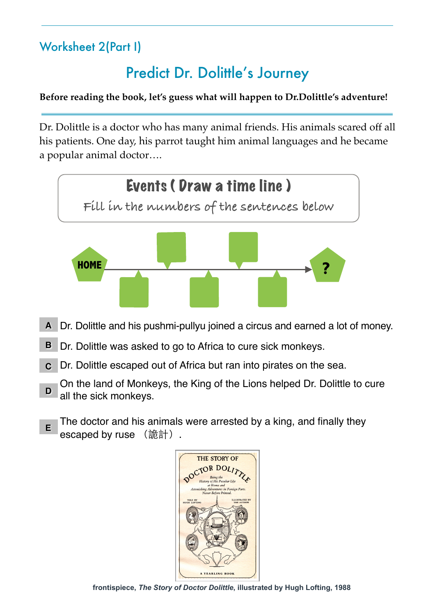## Worksheet 2(Part I)

# Predict Dr. Dolittle's Journey

#### **Before reading the book, let's guess what will happen to Dr.Dolittle's adventure!**

Dr. Dolittle is a doctor who has many animal friends. His animals scared off all his patients. One day, his parrot taught him animal languages and he became a popular animal doctor….



- Dr. Dolittle and his pushmi-pullyu joined a circus and earned a lot of money. **A**
- Dr. Dolittle was asked to go to Africa to cure sick monkeys. **B**
- Dr. Dolittle escaped out of Africa but ran into pirates on the sea. **C**
- On the land of Monkeys, the King of the Lions helped Dr. Dolittle to cure all the sick monkeys. **D**
- The doctor and his animals were arrested by a king, and finally they escaped by ruse (詭計). **E**



**frontispiece,** *The Story of Doctor Dolittle***, illustrated by Hugh Lofting, 1988**